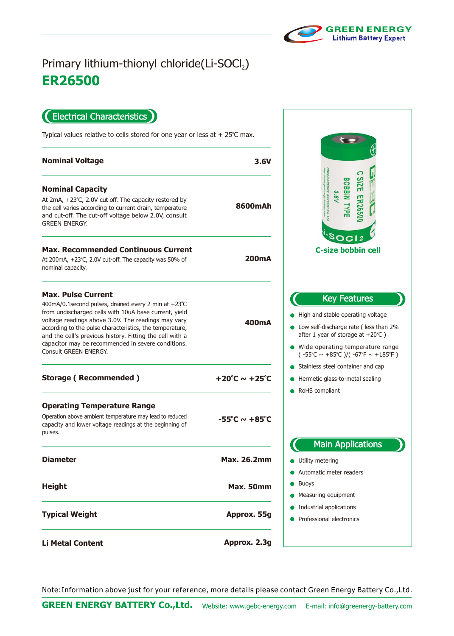

 $\overline{a}$ 

## **ER26500** Primary lithium-thionyl chloride(Li-SOCl2)

Electrical Characteristics  $\blacksquare$ 

Typical values relative to cells stored for one year or less at  $+25^{\circ}$ C max.

| <b>Nominal Voltage</b>                                                                                                                                                                                                                                                                                                                                                                                   | 3.6V                              |                                                                                                                                                                                                                                                                    |
|----------------------------------------------------------------------------------------------------------------------------------------------------------------------------------------------------------------------------------------------------------------------------------------------------------------------------------------------------------------------------------------------------------|-----------------------------------|--------------------------------------------------------------------------------------------------------------------------------------------------------------------------------------------------------------------------------------------------------------------|
| <b>Nominal Capacity</b><br>At 2mA, +23°C, 2.0V cut-off. The capacity restored by<br>the cell varies according to current drain, temperature<br>and cut-off. The cut-off voltage below 2.0V, consult<br><b>GREEN ENERGY.</b>                                                                                                                                                                              | 8600mAh                           | <b>NIBBOB</b><br><b>ER2650</b>                                                                                                                                                                                                                                     |
| <b>Max. Recommended Continuous Current</b><br>At 200mA, +23°C, 2.0V cut-off. The capacity was 50% of<br>nominal capacity.                                                                                                                                                                                                                                                                                | <b>200mA</b>                      | <b>C-size bobbin cell</b>                                                                                                                                                                                                                                          |
| <b>Max. Pulse Current</b><br>400mA/0.1 second pulses, drained every 2 min at +23°C<br>from undischarged cells with 10uA base current, yield<br>voltage readings above 3.0V. The readings may vary<br>according to the pulse characteristics, the temperature,<br>and the cell's previous history. Fitting the cell with a<br>capacitor may be recommended in severe conditions.<br>Consult GREEN ENERGY. | 400 <sub>m</sub> A                | <b>Key Features</b><br>High and stable operating voltage<br>• Low self-discharge rate (less than 2%<br>after 1 year of storage at $+20^{\circ}$ C )<br>• Wide operating temperature range<br>$(-55^{\circ}C \sim +85^{\circ}C)/( -67^{\circ}F \sim +185^{\circ}F)$ |
| <b>Storage (Recommended)</b>                                                                                                                                                                                                                                                                                                                                                                             | $+20^{\circ}$ C ~ $+25^{\circ}$ C | Stainless steel container and cap<br>Hermetic glass-to-metal sealing<br>RoHS compliant                                                                                                                                                                             |
| <b>Operating Temperature Range</b><br>Operation above ambient temperature may lead to reduced<br>capacity and lower voltage readings at the beginning of<br>pulses.                                                                                                                                                                                                                                      | $-55^{\circ}$ C ~ $+85^{\circ}$ C | <b>Main Applications</b>                                                                                                                                                                                                                                           |
| <b>Diameter</b>                                                                                                                                                                                                                                                                                                                                                                                          | <b>Max. 26.2mm</b>                | Utility metering                                                                                                                                                                                                                                                   |
| <b>Height</b>                                                                                                                                                                                                                                                                                                                                                                                            | Max. 50mm                         | Automatic meter readers<br><b>Buoys</b><br>Measuring equipment                                                                                                                                                                                                     |
| <b>Typical Weight</b>                                                                                                                                                                                                                                                                                                                                                                                    | Approx. 55g                       | Industrial applications<br>Professional electronics                                                                                                                                                                                                                |
| <b>Li Metal Content</b>                                                                                                                                                                                                                                                                                                                                                                                  | Approx. 2.3g                      |                                                                                                                                                                                                                                                                    |

Note:Information above just for your reference, more details please contact Green Energy Battery Co.,Ltd.